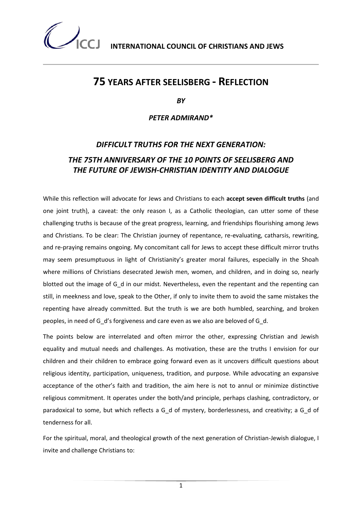

### **75 YEARS AFTER SEELISBERG - REFLECTION**

*BY* 

*PETER ADMIRAND\**

### *DIFFICULT TRUTHS FOR THE NEXT GENERATION: THE 75TH ANNIVERSARY OF THE 10 POINTS OF SEELISBERG AND THE FUTURE OF JEWISH-CHRISTIAN IDENTITY AND DIALOGUE*

While this reflection will advocate for Jews and Christians to each **accept seven difficult truths** (and one joint truth), a caveat: the only reason I, as a Catholic theologian, can utter some of these challenging truths is because of the great progress, learning, and friendships flourishing among Jews and Christians. To be clear: The Christian journey of repentance, re-evaluating, catharsis, rewriting, and re-praying remains ongoing. My concomitant call for Jews to accept these difficult mirror truths may seem presumptuous in light of Christianity's greater moral failures, especially in the Shoah where millions of Christians desecrated Jewish men, women, and children, and in doing so, nearly blotted out the image of G\_d in our midst. Nevertheless, even the repentant and the repenting can still, in meekness and love, speak to the Other, if only to invite them to avoid the same mistakes the repenting have already committed. But the truth is we are both humbled, searching, and broken peoples, in need of G\_d's forgiveness and care even as we also are beloved of G\_d.

The points below are interrelated and often mirror the other, expressing Christian and Jewish equality and mutual needs and challenges. As motivation, these are the truths I envision for our children and their children to embrace going forward even as it uncovers difficult questions about religious identity, participation, uniqueness, tradition, and purpose. While advocating an expansive acceptance of the other's faith and tradition, the aim here is not to annul or minimize distinctive religious commitment. It operates under the both/and principle, perhaps clashing, contradictory, or paradoxical to some, but which reflects a G d of mystery, borderlessness, and creativity; a G d of tenderness for all.

For the spiritual, moral, and theological growth of the next generation of Christian-Jewish dialogue, I invite and challenge Christians to:

1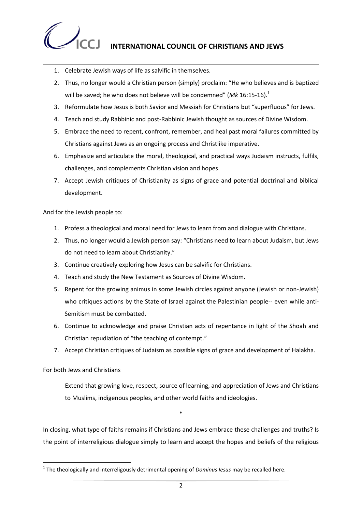

## **INTERNATIONAL COUNCIL OF CHRISTIANS AND JEWS**

- 1. Celebrate Jewish ways of life as salvific in themselves.
- 2. Thus, no longer would a Christian person (simply) proclaim: "He who believes and is baptized will be saved; he who does not believe will be condemned" (Mk 16:15-16).<sup>1</sup>
- 3. Reformulate how Jesus is both Savior and Messiah for Christians but "superfluous" for Jews.
- 4. Teach and study Rabbinic and post-Rabbinic Jewish thought as sources of Divine Wisdom.
- 5. Embrace the need to repent, confront, remember, and heal past moral failures committed by Christians against Jews as an ongoing process and Christlike imperative.
- 6. Emphasize and articulate the moral, theological, and practical ways Judaism instructs, fulfils, challenges, and complements Christian vision and hopes.
- 7. Accept Jewish critiques of Christianity as signs of grace and potential doctrinal and biblical development.

And for the Jewish people to:

- 1. Profess a theological and moral need for Jews to learn from and dialogue with Christians.
- 2. Thus, no longer would a Jewish person say: "Christians need to learn about Judaism, but Jews do not need to learn about Christianity."
- 3. Continue creatively exploring how Jesus can be salvific for Christians.
- 4. Teach and study the New Testament as Sources of Divine Wisdom.
- 5. Repent for the growing animus in some Jewish circles against anyone (Jewish or non-Jewish) who critiques actions by the State of Israel against the Palestinian people-- even while anti-Semitism must be combatted.
- 6. Continue to acknowledge and praise Christian acts of repentance in light of the Shoah and Christian repudiation of "the teaching of contempt."
- 7. Accept Christian critiques of Judaism as possible signs of grace and development of Halakha.

For both Jews and Christians

**.** 

Extend that growing love, respect, source of learning, and appreciation of Jews and Christians to Muslims, indigenous peoples, and other world faiths and ideologies.

\*

In closing, what type of faiths remains if Christians and Jews embrace these challenges and truths? Is the point of interreligious dialogue simply to learn and accept the hopes and beliefs of the religious

<sup>&</sup>lt;sup>1</sup> The theologically and interreligously detrimental opening of *Dominus Iesus* may be recalled here.